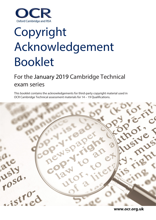

# Copyright Acknowledgement Booklet

## For the January 2019 Cambridge Technical exam series

This booklet contains the acknowledgements for third-party copyright material used in OCR Cambridge Technical assessment materials for 14 – 19 Qualifications.

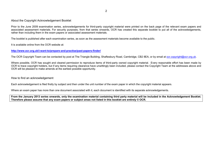About the Copyright Acknowledgement Booklet

Prior to the June 2009 examination series, acknowledgements for third-party copyright material were printed on the back page of the relevant exam papers and associated assessment materials. For security purposes, from that series onwards, OCR has created this separate booklet to put all of the acknowledgements, rather than including them in the exam papers or associated assessment materials.

The booklet is published after each examination series, as soon as the assessment materials become available to the public.

It is available online from the OCR website at:

**<http://www.ocr.org.uk/i-want-to/prepare-and-practise/past-papers-finder/>**

The OCR Copyright Team can be contacted by post at The Triangle Building, Shaftesbury Road, Cambridge, CB2 8EA, or by email at [ocr.copyright@ocr.org.uk.](mailto:ocr.copyright@ocr.org.uk)

Where possible, OCR has sought and cleared permission to reproduce items of third-party owned copyright material. Every reasonable effort has been made by OCR to trace copyright holders, but if any items requiring clearance have unwittingly been included, please contact the Copyright Team at the addresses above and OCR will be pleased to make amends at the earliest possible opportunity.

How to find an acknowledgement

Each acknowledgement is filed firstly by subject and then under the unit number of the exam paper in which the copyright material appears.

Where an exam paper has more than one document associated with it, each document is identified with its separate acknowledgements.

**From the January 2013 series onwards, only the examination material containing third party material will be included in the Acknowledgement Booklet. Therefore please assume that any exam papers or subject areas not listed in this booklet are entirely © OCR.**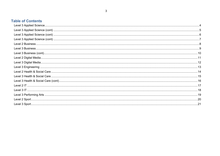$\mathbf{3}$ 

### **Table of Contents**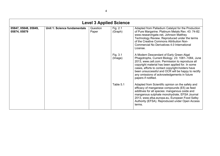<span id="page-3-0"></span>

|                                      | <b>Level 3 Applied Science</b> |                   |                     |                                                                                                                                                                                                                                                                                                                                                                                      |  |  |
|--------------------------------------|--------------------------------|-------------------|---------------------|--------------------------------------------------------------------------------------------------------------------------------------------------------------------------------------------------------------------------------------------------------------------------------------------------------------------------------------------------------------------------------------|--|--|
| 05847, 05848, 05849,<br>05874, 05879 | Unit 1: Science fundamentals   | Question<br>Paper | Fig. 2.1<br>(Graph) | Adapted from Palladium Catalyst for the Production<br>of Pure Margarine. Platinum Metals Rev. 43: 74-82.<br>www.researchgate.net, Johnson Matthey<br>Technology Review. Reproduced under the terms<br>of the Creative Commons Attribution Non-<br>Commercial No Derivatives 4.0 International<br>License.                                                                            |  |  |
|                                      |                                |                   | Fig. 3.1<br>(Image) | A Modern Descendant of Early Green Algal<br>Phagotrophs, Current Biology. 23: 1081-1084, June<br>2013, www.cell.com. Permission to reproduce all<br>copyright material has been applied for. In some<br>cases, efforts to contact copyright-holders have<br>been unsuccessful and OCR will be happy to rectify<br>any omissions of acknowledgements in future<br>papers if notified. |  |  |
|                                      |                                |                   | Table 5.1           | Adapted from Scientific opinion on the safety and<br>efficacy of manganese compounds (E5) as feed<br>additives for all species: manganous oxide and<br>manganous sulphate monohydrate, EFSA Journal<br>2013, www.efsa.europa.eu, European Food Safey<br>Authority (EFSA). Reproduced under Open Access<br>terms.                                                                     |  |  |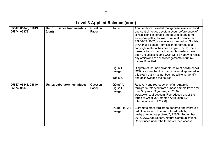<span id="page-4-0"></span>

|                                      | <b>Level 3 Applied Science (cont)</b>  |                   |                                      |                                                                                                                                                                                                                                                                                                                                                                                                                                                                                                                                                 |  |
|--------------------------------------|----------------------------------------|-------------------|--------------------------------------|-------------------------------------------------------------------------------------------------------------------------------------------------------------------------------------------------------------------------------------------------------------------------------------------------------------------------------------------------------------------------------------------------------------------------------------------------------------------------------------------------------------------------------------------------|--|
| 05847, 05848, 05849,<br>05874, 05879 | Unit 1: Science fundamentals<br>(cont) | Question<br>Paper | Table 5.3                            | Adapted from Elevated manganese levels in blood<br>and central nervous system occur before onset of<br>clinical signs in scrapie and bovine spongiform<br>encephalopathy, Journal of Animal Science 85:<br>1596-609, 2007, www.asas.org, American Society<br>of Animal Science. Permission to reproduce all<br>copyright material has been applied for. In some<br>cases, efforts to contact copyright-holders have<br>been unsuccessful and OCR will be happy to rectify<br>any omissions of acknowledgements in future<br>papers if notified. |  |
|                                      |                                        |                   | Fig. 6.1<br>(Image)<br>Table 6.1     | Diagram of the molecular structure of poly(ethene).<br>OCR is aware that third party material appeared in<br>this exam but it has not been possible to identify<br>and acknowledge the source.                                                                                                                                                                                                                                                                                                                                                  |  |
| 05847, 05848, 05849,<br>05874, 05879 | Unit 2: Laboratory techniques          | Question<br>Paper | $Q2(a)(ii)$ ,<br>Fig. 2.1<br>(Image) | Recovery and reproduction of an Antarctic<br>tardigrade retrieved from a moss sample frozen for<br>over 30 years. Cryobiology: 72 78-81,<br>www.sciencedirect.com. Reproduced under the<br>terms of Creative Common Attribution 4.0<br>International (CC BY 4.0).                                                                                                                                                                                                                                                                               |  |
|                                      |                                        |                   | Q2(b), Fig. 2.2<br>(Image)           | Extremotolerant tardigrade genome and improved<br>radiotolerance of human cultured cells by<br>tardigrade-unique protein, 7, 12808, September<br>2016, www.nature.com, Nature Communications.<br>Reproduced under the terms of Open access.                                                                                                                                                                                                                                                                                                     |  |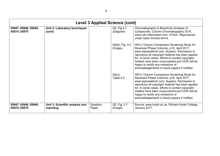<span id="page-5-0"></span>

|                                      | <b>Level 3 Applied Science (cont)</b>        |                   |                            |                                                                                                                                                                                                                                                                                                                                                                                                  |  |
|--------------------------------------|----------------------------------------------|-------------------|----------------------------|--------------------------------------------------------------------------------------------------------------------------------------------------------------------------------------------------------------------------------------------------------------------------------------------------------------------------------------------------------------------------------------------------|--|
| 05847, 05848, 05849,<br>05874, 05879 | Unit 2: Laboratory techniques<br>(cont)      |                   | Q4, Fig 4.1<br>(Diagram)   | Chromatography in Bioactivity Analysis of<br>Compounds, Column Chromatography 2014,<br>www.cdn.intechopen.com, InTech. Reproduced<br>under Open Access terms.                                                                                                                                                                                                                                    |  |
|                                      |                                              |                   | Q4(b), Fig. 4.2<br>(Image) | HPLC Column Comparison Screening Study for<br>Reversed Phase Columns, p15, April 2017,<br>www.sigmaaldrich.com, Supelco. Permission to<br>reproduce all copyright material has been applied<br>for. In some cases, efforts to contact copyright-<br>holders have been unsuccessful and OCR will be<br>happy to rectify any omissions of<br>acknowledgements in future papers if notified.        |  |
|                                      |                                              |                   | $Q4(c)$ ,<br>Table 4.3     | <b>HPLC Column Comparison Screening Study for</b><br>Reversed Phase Columns, p16, April 2017,<br>www.sigmaaldrich.com, Supelco. Permission to<br>reproduce all copyright material has been applied<br>for. In some cases, efforts to contact copyright-<br>holders have been unsuccessful and OCR will be<br>happy to rectify any omissions of<br>acknowledgements in future papers if notified. |  |
| 05847, 05848, 05849,<br>05874, 05879 | Unit 3: Scientific analysis and<br>reporting | Question<br>Paper | Q2, Fig. 2.1<br>(Image)    | Source: www.huish.ac.uk, Richard Huish College,<br>January 2017.                                                                                                                                                                                                                                                                                                                                 |  |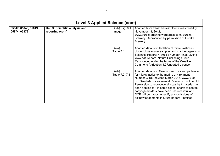<span id="page-6-0"></span>

|                                      | <b>Level 3 Applied Science (cont)</b>               |  |                             |                                                                                                                                                                                                                                                                                                                                                                                                                                                                             |  |
|--------------------------------------|-----------------------------------------------------|--|-----------------------------|-----------------------------------------------------------------------------------------------------------------------------------------------------------------------------------------------------------------------------------------------------------------------------------------------------------------------------------------------------------------------------------------------------------------------------------------------------------------------------|--|
| 05847, 05848, 05849,<br>05874, 05879 | Unit 3: Scientific analysis and<br>reporting (cont) |  | Q6(b), Fig. 6.1<br>(Image)  | Adapted from Yeast basics: Check yeast viability,<br>November 18, 2012,<br>www.eurekabrewing.wordpress.com, Eureka<br>Brewery. Reproduced by permission of Eureka<br>Brewery.                                                                                                                                                                                                                                                                                               |  |
|                                      |                                                     |  | $Q7(a)$ ,<br>Table 7.1      | Adapted data from Isolation of microplastics in<br>biota-rich seawater samples and marine organisms,<br>Scientific Reports 4, Article number: 4528 (2014)<br>www.nature.com, Nature Publishing Group.<br>Reproduced under the terms of the Creative<br>Commons Attribution 3.0 Unported License.                                                                                                                                                                            |  |
|                                      |                                                     |  | $Q7(b)$ ,<br>Table 7.2, 7.3 | Adapted data from Swedish sources and pathways<br>for microplastics to the marine environment,<br>Number C 183, revised March 2017, www.ivl.se,<br><b>IVL Swedish Environmental Research Institute Ltd.</b><br>Permission to reproduce all copyright material has<br>been applied for. In some cases, efforts to contact<br>copyright-holders have been unsuccessful and<br>OCR will be happy to rectify any omissions of<br>acknowledgements in future papers if notified. |  |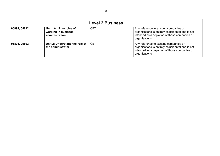<span id="page-7-0"></span>

|              | <b>Level 2 Business</b>                                         |            |                                                                                                                                                                |  |  |  |
|--------------|-----------------------------------------------------------------|------------|----------------------------------------------------------------------------------------------------------------------------------------------------------------|--|--|--|
| 05891, 05892 | Unit 1A: Principles of<br>working in business<br>administration | <b>CBT</b> | Any reference to existing companies or<br>organisations is entirely coincidental and is not<br>intended as a depiction of those companies or<br>organisations. |  |  |  |
| 05891, 05892 | Unit 2: Understand the role of<br>the administrator             | <b>CBT</b> | Any reference to existing companies or<br>organisations is entirely coincidental and is not<br>intended as a depiction of those companies or<br>organisations. |  |  |  |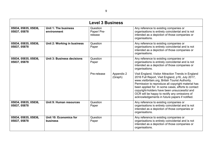<span id="page-8-0"></span>

|                                      |                                     | <b>Level 3 Business</b>            |                       |                                                                                                                                                                                                                                                                                                                                                                                                                             |
|--------------------------------------|-------------------------------------|------------------------------------|-----------------------|-----------------------------------------------------------------------------------------------------------------------------------------------------------------------------------------------------------------------------------------------------------------------------------------------------------------------------------------------------------------------------------------------------------------------------|
| 05834, 05835, 05836,<br>05837, 05878 | Unit 1: The business<br>environment | Question<br>Paper/ Pre-<br>release |                       | Any reference to existing companies or<br>organisations is entirely coincidental and is not<br>intended as a depiction of those companies or<br>organisations.                                                                                                                                                                                                                                                              |
| 05834, 05835, 05836,<br>05837, 05878 | Unit 2: Working in business         | Question<br>Paper                  |                       | Any reference to existing companies or<br>organisations is entirely coincidental and is not<br>intended as a depiction of those companies or<br>organisations.                                                                                                                                                                                                                                                              |
| 05834, 05835, 05836,<br>05837, 05878 | Unit 3: Business decisions          | Question<br>Paper                  |                       | Any reference to existing companies or<br>organisations is entirely coincidental and is not<br>intended as a depiction of those companies or<br>organisations.                                                                                                                                                                                                                                                              |
|                                      |                                     | Pre-release                        | Appendix 2<br>(Graph) | Visit England, Visitor Attraction Trends in England<br>2016 Full Report, Visit England, p16, July 2017,<br>www.visitbritain.org, British Tourist Authority.<br>Permission to reproduce all copyright material has<br>been applied for. In some cases, efforts to contact<br>copyright-holders have been unsuccessful and<br>OCR will be happy to rectify any omissions of<br>acknowledgements in future papers if notified. |
| 05834, 05835, 05836,<br>05837, 05878 | Unit 9: Human resources             | Question<br>Paper                  |                       | Any reference to existing companies or<br>organisations is entirely coincidental and is not<br>intended as a depiction of those companies or<br>organisations.                                                                                                                                                                                                                                                              |
| 05834, 05835, 05836,<br>05837, 05878 | Unit 10: Economics for<br>business  | Question<br>Paper                  |                       | Any reference to existing companies or<br>organisations is entirely coincidental and is not<br>intended as a depiction of those companies or<br>organisations.                                                                                                                                                                                                                                                              |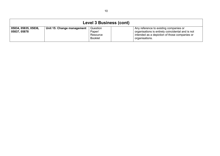<span id="page-9-0"></span>

| <b>Level 3 Business (cont)</b>       |                            |                                                  |  |                                                                                                                                                                |  |
|--------------------------------------|----------------------------|--------------------------------------------------|--|----------------------------------------------------------------------------------------------------------------------------------------------------------------|--|
| 05834, 05835, 05836,<br>05837, 05878 | Unit 15: Change management | Question<br>Paper/<br>Resource<br><b>Booklet</b> |  | Any reference to existing companies or<br>organisations is entirely coincidental and is not<br>intended as a depiction of those companies or<br>organisations. |  |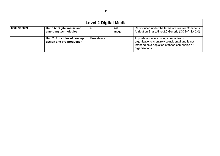<span id="page-10-0"></span>

| Level 2 Digital Media |                                                            |             |                |                                                                                                                                                                |  |
|-----------------------|------------------------------------------------------------|-------------|----------------|----------------------------------------------------------------------------------------------------------------------------------------------------------------|--|
| 05897/05899           | Unit 1A: Digital media and<br>emerging technologies        | QP          | Q26<br>(Image) | Reproduced under the terms of Creative Commons<br>Attribution-ShareAlike 2.0 Generic (CC BY SA 2.0)                                                            |  |
|                       | Unit 2: Principles of concept<br>design and pre-production | Pre-release |                | Any reference to existing companies or<br>organisations is entirely coincidental and is not<br>intended as a depiction of those companies or<br>organisations. |  |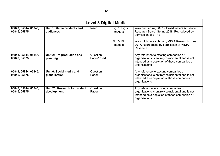<span id="page-11-0"></span>

|                                      | <b>Level 3 Digital Media</b>                 |                          |                            |                                                                                                                                                                |
|--------------------------------------|----------------------------------------------|--------------------------|----------------------------|----------------------------------------------------------------------------------------------------------------------------------------------------------------|
| 05843, 05844, 05845,<br>05846, 05875 | Unit 1: Media products and<br>audiences      | Insert                   | Fig. 1, Fig. 2<br>(Images) | www.barb.co.uk, BARB, Broadcasters Audience<br>Research Board, Spring 2018. Reproduced by<br>permission of BARB.                                               |
|                                      |                                              |                          | Fig. 3, Fig. 4<br>(Images) | www.midiaresearch.com, MIDIA Research, June<br>2017. Reproduced by permission of MIDIA<br>Research.                                                            |
| 05843, 05844, 05845,<br>05846, 05875 | Unit 2: Pre-production and<br>planning       | Question<br>Paper/Insert |                            | Any reference to existing companies or<br>organisations is entirely coincidental and is not<br>intended as a depiction of those companies or<br>organisations. |
| 05843, 05844, 05845,<br>05846, 05875 | Unit 6: Social media and<br>globalisation    | Question<br>Paper        |                            | Any reference to existing companies or<br>organisations is entirely coincidental and is not<br>intended as a depiction of those companies or<br>organisations. |
| 05843, 05844, 05845,<br>05846, 05875 | Unit 25: Research for product<br>development | Question<br>Paper        |                            | Any reference to existing companies or<br>organisations is entirely coincidental and is not<br>intended as a depiction of those companies or<br>organisations. |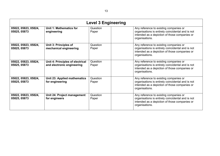<span id="page-12-0"></span>

|                                      | <b>Level 3 Engineering</b>                                     |                   |                                                                                                                                                                |  |
|--------------------------------------|----------------------------------------------------------------|-------------------|----------------------------------------------------------------------------------------------------------------------------------------------------------------|--|
| 05822, 05823, 05824,<br>05825, 05873 | Unit 1: Mathematics for<br>engineering                         | Question<br>Paper | Any reference to existing companies or<br>organisations is entirely coincidental and is not<br>intended as a depiction of those companies or<br>organisations. |  |
| 05822, 05823, 05824,<br>05825, 05873 | Unit 3: Principles of<br>mechanical engineering                | Question<br>Paper | Any reference to existing companies or<br>organisations is entirely coincidental and is not<br>intended as a depiction of those companies or<br>organisations. |  |
| 05822, 05823, 05824,<br>05825, 05873 | Unit 4: Principles of electrical<br>and electronic engineering | Question<br>Paper | Any reference to existing companies or<br>organisations is entirely coincidental and is not<br>intended as a depiction of those companies or<br>organisations. |  |
| 05822, 05823, 05824,<br>05825, 05873 | Unit 23: Applied mathematics<br>for engineering                | Question<br>Paper | Any reference to existing companies or<br>organisations is entirely coincidental and is not<br>intended as a depiction of those companies or<br>organisations. |  |
| 05822, 05823, 05824,<br>05825, 05873 | Unit 24: Project management<br>for engineers                   | Question<br>Paper | Any reference to existing companies or<br>organisations is entirely coincidental and is not<br>intended as a depiction of those companies or<br>organisations. |  |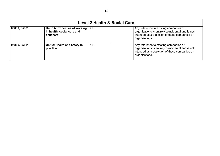<span id="page-13-0"></span>

| <b>Level 2 Health &amp; Social Care</b> |                                                                           |            |                                                                                                                                                                |  |
|-----------------------------------------|---------------------------------------------------------------------------|------------|----------------------------------------------------------------------------------------------------------------------------------------------------------------|--|
| 05880, 05881                            | Unit 1A: Principles of working<br>in health, social care and<br>childcare | <b>CBT</b> | Any reference to existing companies or<br>organisations is entirely coincidental and is not<br>intended as a depiction of those companies or<br>organisations. |  |
| 05880, 05881                            | Unit 2: Health and safety in<br>practice                                  | <b>CBT</b> | Any reference to existing companies or<br>organisations is entirely coincidental and is not<br>intended as a depiction of those companies or<br>organisations. |  |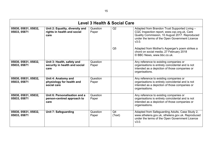<span id="page-14-0"></span>

| <b>Level 3 Health &amp; Social Care</b> |                                                                        |                   |                          |                                                                                                                                                                                                           |
|-----------------------------------------|------------------------------------------------------------------------|-------------------|--------------------------|-----------------------------------------------------------------------------------------------------------------------------------------------------------------------------------------------------------|
| 05830, 05831, 05832,<br>05833, 05871    | Unit 2: Equality, diversity and<br>rights in health and social<br>care | Question<br>Paper | Q2                       | Adapted from Brandon Trust Supported Living -<br>CQC Inspection report, www.cqc.org.uk, Care<br>Quality Commission, 10 August 2017. Reproduced<br>under the terms of the Open Government Licence<br>V3.0. |
|                                         |                                                                        |                   | Q <sub>5</sub>           | Adapted from Mother's Asperger's poem strikes a<br>chord on social media, 27 February 2018<br>© BBC News, www.bbc.co.uk.                                                                                  |
| 05830, 05831, 05832,<br>05833, 05871    | Unit 3: Health, safety and<br>security in health and social<br>care    | Question<br>Paper |                          | Any reference to existing companies or<br>organisations is entirely coincidental and is not<br>intended as a depiction of those companies or<br>organisations.                                            |
| 05830, 05831, 05832,<br>05833, 05871    | Unit 4: Anatomy and<br>physiology for health and<br>social care        | Question<br>Paper |                          | Any reference to existing companies or<br>organisations is entirely coincidental and is not<br>intended as a depiction of those companies or<br>organisations.                                            |
| 05830, 05831, 05832,<br>05833, 05871    | Unit 6: Personalisation and a<br>person-centred approach to<br>care    | Question<br>Paper |                          | Any reference to existing companies or<br>organisations is entirely coincidental and is not<br>intended as a depiction of those companies or<br>organisations.                                            |
| 05830, 05831, 05832,<br>05833, 05871    | <b>Unit 7: Safeguarding</b>                                            | Question<br>Paper | Q <sub>4</sub><br>(Text) | Adapted from Safeguarding Adults, Case Study 2,<br>www.sthelens.gov.uk, sthelens.gov.uk. Reproduced<br>under the terms of the Open Government Licence<br>V3.0.                                            |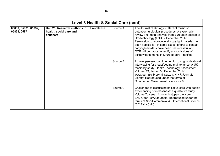<span id="page-15-0"></span>

| Level 3 Health & Social Care (cont)  |                                                                      |             |          |                                                                                                                                                                                                                                                                                                                                                                                                                                                             |  |
|--------------------------------------|----------------------------------------------------------------------|-------------|----------|-------------------------------------------------------------------------------------------------------------------------------------------------------------------------------------------------------------------------------------------------------------------------------------------------------------------------------------------------------------------------------------------------------------------------------------------------------------|--|
| 05830, 05831, 05832,<br>05833, 05871 | Unit 25: Research methods in<br>health, social care and<br>childcare | Pre-release | Source A | The Journal of Urology - Effect of music on<br>outpatient urological procedures: A systematic<br>review and meta-analysis from European section of<br>Uro-technology (ESUT), December 2017.<br>Permission to reproduce all copyright material has<br>been applied for. In some cases, efforts to contact<br>copyright-holders have been unsuccessful and<br>OCR will be happy to rectify any omissions of<br>acknowledgements in future papers if notified. |  |
|                                      |                                                                      |             | Source B | A novel peer-support intervention using motivational<br>interviewing for breastfeeding maintenance: A UK<br>feasibility study, Health Technology Assessment.<br>Volume: 21, Issue: 77, December 2017,<br>www.journalslibrary.nihr.ac.uk, NIHR Journals<br>Library. Reproduced under the terms of<br>Commercial Government Licence v2.0.                                                                                                                     |  |
|                                      |                                                                      |             | Source C | Challenges to discussing palliative care with people<br>experiencing homelessness: a qualitative study<br>Volume 7, Issue 11, www.bmjopen.bmj.com,<br>BMJ Open, BMJ Journals. Reproduced under the<br>terms of Non-Commercial 4.0 International Licence<br>(CC BY-NC 4.0).                                                                                                                                                                                  |  |

16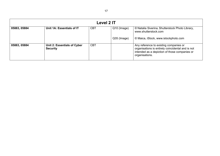<span id="page-16-0"></span>

| Level 2 IT   |                                                |            |             |                                                                                                                                                                |  |
|--------------|------------------------------------------------|------------|-------------|----------------------------------------------------------------------------------------------------------------------------------------------------------------|--|
| 05883, 05884 | Unit 1A: Essentials of IT                      | <b>CBT</b> | Q10 (Image) | © Natalia Siverina, Shutterstock Photo Library,<br>www.shutterstock.com                                                                                        |  |
|              |                                                |            | Q35 (Image) | © Maica, iStock, www.istockphoto.com                                                                                                                           |  |
| 05883, 05884 | Unit 2: Essentials of Cyber<br><b>Security</b> | <b>CBT</b> |             | Any reference to existing companies or<br>organisations is entirely coincidental and is not<br>intended as a depiction of those companies or<br>organisations. |  |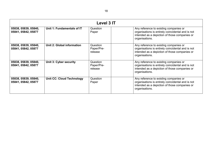<span id="page-17-0"></span>

| <b>Level 3 IT</b>                           |                                  |                                   |                                                                                                                                                                |  |  |
|---------------------------------------------|----------------------------------|-----------------------------------|----------------------------------------------------------------------------------------------------------------------------------------------------------------|--|--|
| 05838, 05839, 05840,<br>05841, 05842, 05877 | Unit 1: Fundamentals of IT       | Question<br>Paper                 | Any reference to existing companies or<br>organisations is entirely coincidental and is not<br>intended as a depiction of those companies or<br>organisations. |  |  |
| 05838, 05839, 05840,<br>05841, 05842, 05877 | Unit 2: Global information       | Question<br>Paper/Pre-<br>release | Any reference to existing companies or<br>organisations is entirely coincidental and is not<br>intended as a depiction of those companies or<br>organisations. |  |  |
| 05838, 05839, 05840,<br>05841, 05842, 05877 | Unit 3: Cyber security           | Question<br>Paper/Pre-<br>release | Any reference to existing companies or<br>organisations is entirely coincidental and is not<br>intended as a depiction of those companies or<br>organisations. |  |  |
| 05838, 05839, 05840,<br>05841, 05842, 05877 | <b>Unit CC: Cloud Technology</b> | Question<br>Paper                 | Any reference to existing companies or<br>organisations is entirely coincidental and is not<br>intended as a depiction of those companies or<br>organisations. |  |  |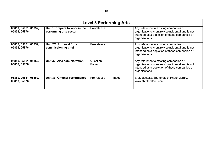<span id="page-18-0"></span>

| <b>Level 3 Performing Arts</b>       |                                                          |                   |       |                                                                                                                                                                |  |
|--------------------------------------|----------------------------------------------------------|-------------------|-------|----------------------------------------------------------------------------------------------------------------------------------------------------------------|--|
| 05850, 05851, 05852,<br>05853, 05876 | Unit 1: Prepare to work in the<br>performing arts sector | Pre-release       |       | Any reference to existing companies or<br>organisations is entirely coincidental and is not<br>intended as a depiction of those companies or<br>organisations. |  |
| 05850, 05851, 05852,<br>05853, 05876 | Unit 2C: Proposal for a<br>commissioning brief           | Pre-release       |       | Any reference to existing companies or<br>organisations is entirely coincidental and is not<br>intended as a depiction of those companies or<br>organisations. |  |
| 05850, 05851, 05852,<br>05853, 05876 | Unit 32: Arts administration                             | Question<br>Paper |       | Any reference to existing companies or<br>organisations is entirely coincidental and is not<br>intended as a depiction of those companies or<br>organisations. |  |
| 05850, 05851, 05852,<br>05853, 05876 | Unit 33: Original performance                            | Pre-release       | Image | © studiostoks, Shutterstock Photo Library,<br>www.shutterstock.com                                                                                             |  |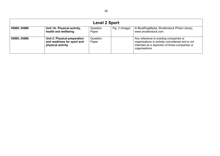<span id="page-19-0"></span>

| <b>Level 2 Sport</b> |                                                                                  |                   |                |                                                                                                                                                                |  |
|----------------------|----------------------------------------------------------------------------------|-------------------|----------------|----------------------------------------------------------------------------------------------------------------------------------------------------------------|--|
| 05885, 05886         | Unit 1A: Physical activity,<br>health and wellbeing                              | Question<br>Paper | Fig. 2 (Image) | © BlueRingMedia, Shutterstock Photo Library,<br>www.shutterstock.com                                                                                           |  |
| 05885, 05886         | Unit 2: Physical preparation<br>and readiness for sport and<br>physical activity | Question<br>Paper |                | Any reference to existing companies or<br>organisations is entirely coincidental and is not<br>intended as a depiction of those companies or<br>organisations. |  |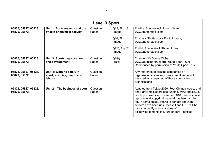<span id="page-20-0"></span>

| <b>Level 3 Sport</b>                 |                                                                     |                   |                            |                                                                                                                                                                                                                                                                                                                                                                                                             |  |
|--------------------------------------|---------------------------------------------------------------------|-------------------|----------------------------|-------------------------------------------------------------------------------------------------------------------------------------------------------------------------------------------------------------------------------------------------------------------------------------------------------------------------------------------------------------------------------------------------------------|--|
| 05826, 05827, 05828,<br>05829, 05872 | Unit 1: Body systems and the<br>effects of physical activity        | Question<br>Paper | Q12, Fig. 12.1<br>(Image)  | © adike, Shutterstock Photo Library,<br>www.shutterstock.com                                                                                                                                                                                                                                                                                                                                                |  |
|                                      |                                                                     |                   | Q14, Fig. 14.1<br>(Image)  | © muzsy, Shutterstock Photo Library,<br>www.shutterstock.com                                                                                                                                                                                                                                                                                                                                                |  |
|                                      |                                                                     |                   | Q21*, Fig. 21.1<br>(Image) | © stihii, Shutterstock Photo Library,<br>www.shutterstock.com                                                                                                                                                                                                                                                                                                                                               |  |
| 05826, 05827, 05828,<br>05829, 05872 | Unit 3: Sports organisation<br>and development                      | Question<br>Paper | Q1(b)<br>(Text)            | Change4Life Sports Clubs,<br>www.youthsporttrust.org, Youth Sport Trust.<br>Reproduced by permission of Youth Sport Trust.                                                                                                                                                                                                                                                                                  |  |
| 05826, 05827, 05828,<br>05829, 05872 | Unit 4: Working safely in<br>sport, exercise, health and<br>leisure | Question<br>Paper |                            | Any reference to existing companies or<br>organisations is entirely coincidental and is not<br>intended as a depiction of those companies or<br>organisations.                                                                                                                                                                                                                                              |  |
| 05826, 05827, 05828,<br>05829, 05872 | Unit 21: The business of sport                                      | Question<br>Paper |                            | Adapted from Tokyo 2020: Four Olympic sports and<br>one Paralympic sport lose funding, www.bbc.co.uk,<br>BBC Sport website, November 2018. Permission to<br>reproduce all copyright material has been applied<br>for. In some cases, efforts to contact copyright-<br>holders have been unsuccessful and OCR will be<br>happy to rectify any omissions of<br>acknowledgements in future papers if notified. |  |